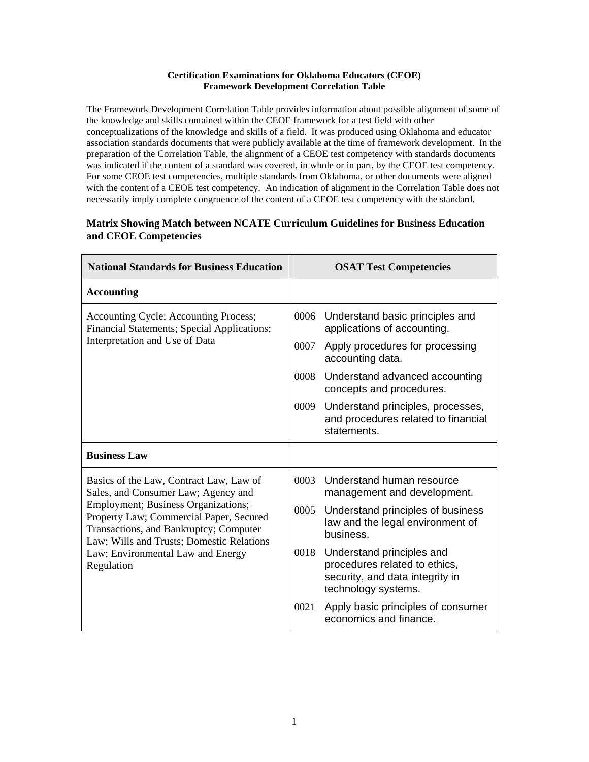## **Certification Examinations for Oklahoma Educators (CEOE) Framework Development Correlation Table**

The Framework Development Correlation Table provides information about possible alignment of some of the knowledge and skills contained within the CEOE framework for a test field with other conceptualizations of the knowledge and skills of a field. It was produced using Oklahoma and educator association standards documents that were publicly available at the time of framework development. In the preparation of the Correlation Table, the alignment of a CEOE test competency with standards documents was indicated if the content of a standard was covered, in whole or in part, by the CEOE test competency. For some CEOE test competencies, multiple standards from Oklahoma, or other documents were aligned with the content of a CEOE test competency. An indication of alignment in the Correlation Table does not necessarily imply complete congruence of the content of a CEOE test competency with the standard.

## **Matrix Showing Match between NCATE Curriculum Guidelines for Business Education and CEOE Competencies**

| <b>National Standards for Business Education</b>                                                                                                                      |      | <b>OSAT Test Competencies</b>                                                                                        |
|-----------------------------------------------------------------------------------------------------------------------------------------------------------------------|------|----------------------------------------------------------------------------------------------------------------------|
| <b>Accounting</b>                                                                                                                                                     |      |                                                                                                                      |
| Accounting Cycle; Accounting Process;<br><b>Financial Statements; Special Applications;</b>                                                                           |      | 0006 Understand basic principles and<br>applications of accounting.                                                  |
| Interpretation and Use of Data                                                                                                                                        | 0007 | Apply procedures for processing<br>accounting data.                                                                  |
|                                                                                                                                                                       | 0008 | Understand advanced accounting<br>concepts and procedures.                                                           |
|                                                                                                                                                                       | 0009 | Understand principles, processes,<br>and procedures related to financial<br>statements.                              |
| <b>Business Law</b>                                                                                                                                                   |      |                                                                                                                      |
| Basics of the Law, Contract Law, Law of<br>Sales, and Consumer Law; Agency and                                                                                        | 0003 | Understand human resource<br>management and development.                                                             |
| Employment; Business Organizations;<br>Property Law; Commercial Paper, Secured<br>Transactions, and Bankruptcy; Computer<br>Law; Wills and Trusts; Domestic Relations | 0005 | Understand principles of business<br>law and the legal environment of<br>business.                                   |
| Law; Environmental Law and Energy<br>Regulation                                                                                                                       | 0018 | Understand principles and<br>procedures related to ethics,<br>security, and data integrity in<br>technology systems. |
|                                                                                                                                                                       | 0021 | Apply basic principles of consumer<br>economics and finance.                                                         |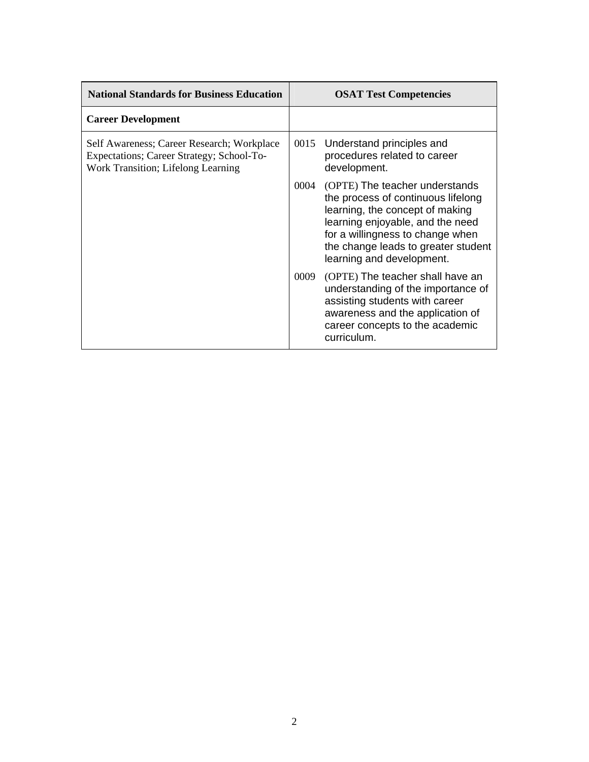| <b>National Standards for Business Education</b>                                                                              | <b>OSAT Test Competencies</b>                                                                                                                                                                                                                               |
|-------------------------------------------------------------------------------------------------------------------------------|-------------------------------------------------------------------------------------------------------------------------------------------------------------------------------------------------------------------------------------------------------------|
| <b>Career Development</b>                                                                                                     |                                                                                                                                                                                                                                                             |
| Self Awareness; Career Research; Workplace<br>Expectations; Career Strategy; School-To-<br>Work Transition; Lifelong Learning | 0015<br>Understand principles and<br>procedures related to career<br>development.                                                                                                                                                                           |
|                                                                                                                               | (OPTE) The teacher understands<br>0004<br>the process of continuous lifelong<br>learning, the concept of making<br>learning enjoyable, and the need<br>for a willingness to change when<br>the change leads to greater student<br>learning and development. |
|                                                                                                                               | (OPTE) The teacher shall have an<br>0009<br>understanding of the importance of<br>assisting students with career<br>awareness and the application of<br>career concepts to the academic<br>curriculum.                                                      |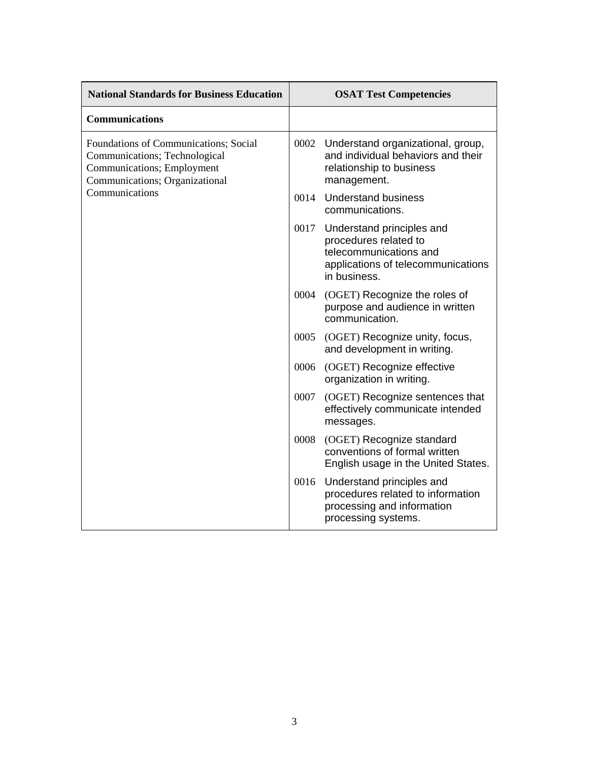| <b>National Standards for Business Education</b>                                                                                               |      | <b>OSAT Test Competencies</b>                                                                                                      |
|------------------------------------------------------------------------------------------------------------------------------------------------|------|------------------------------------------------------------------------------------------------------------------------------------|
| <b>Communications</b>                                                                                                                          |      |                                                                                                                                    |
| Foundations of Communications; Social<br>Communications; Technological<br><b>Communications</b> ; Employment<br>Communications; Organizational | 0002 | Understand organizational, group,<br>and individual behaviors and their<br>relationship to business<br>management.                 |
| Communications                                                                                                                                 | 0014 | <b>Understand business</b><br>communications.                                                                                      |
|                                                                                                                                                | 0017 | Understand principles and<br>procedures related to<br>telecommunications and<br>applications of telecommunications<br>in business. |
|                                                                                                                                                | 0004 | (OGET) Recognize the roles of<br>purpose and audience in written<br>communication.                                                 |
|                                                                                                                                                | 0005 | (OGET) Recognize unity, focus,<br>and development in writing.                                                                      |
|                                                                                                                                                | 0006 | (OGET) Recognize effective<br>organization in writing.                                                                             |
|                                                                                                                                                | 0007 | (OGET) Recognize sentences that<br>effectively communicate intended<br>messages.                                                   |
|                                                                                                                                                | 0008 | (OGET) Recognize standard<br>conventions of formal written<br>English usage in the United States.                                  |
|                                                                                                                                                | 0016 | Understand principles and<br>procedures related to information<br>processing and information<br>processing systems.                |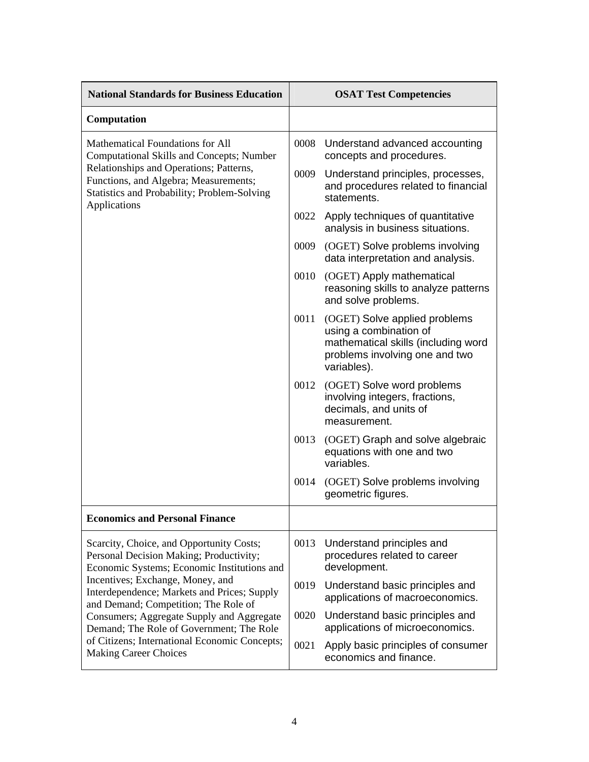| <b>National Standards for Business Education</b>                                                                                       |      | <b>OSAT Test Competencies</b>                                                                                                                   |
|----------------------------------------------------------------------------------------------------------------------------------------|------|-------------------------------------------------------------------------------------------------------------------------------------------------|
| Computation                                                                                                                            |      |                                                                                                                                                 |
| <b>Mathematical Foundations for All</b><br><b>Computational Skills and Concepts; Number</b>                                            | 0008 | Understand advanced accounting<br>concepts and procedures.                                                                                      |
| Relationships and Operations; Patterns,<br>Functions, and Algebra; Measurements;<br><b>Statistics and Probability; Problem-Solving</b> | 0009 | Understand principles, processes,<br>and procedures related to financial<br>statements.                                                         |
| Applications                                                                                                                           | 0022 | Apply techniques of quantitative<br>analysis in business situations.                                                                            |
|                                                                                                                                        | 0009 | (OGET) Solve problems involving<br>data interpretation and analysis.                                                                            |
|                                                                                                                                        | 0010 | (OGET) Apply mathematical<br>reasoning skills to analyze patterns<br>and solve problems.                                                        |
|                                                                                                                                        | 0011 | (OGET) Solve applied problems<br>using a combination of<br>mathematical skills (including word<br>problems involving one and two<br>variables). |
|                                                                                                                                        | 0012 | (OGET) Solve word problems<br>involving integers, fractions,<br>decimals, and units of<br>measurement.                                          |
|                                                                                                                                        | 0013 | (OGET) Graph and solve algebraic<br>equations with one and two<br>variables.                                                                    |
|                                                                                                                                        | 0014 | (OGET) Solve problems involving<br>geometric figures.                                                                                           |
| <b>Economics and Personal Finance</b>                                                                                                  |      |                                                                                                                                                 |
| Scarcity, Choice, and Opportunity Costs;<br>Personal Decision Making; Productivity;<br>Economic Systems; Economic Institutions and     | 0013 | Understand principles and<br>procedures related to career<br>development.                                                                       |
| Incentives; Exchange, Money, and<br>Interdependence; Markets and Prices; Supply<br>and Demand; Competition; The Role of                | 0019 | Understand basic principles and<br>applications of macroeconomics.                                                                              |
| Consumers; Aggregate Supply and Aggregate<br>Demand; The Role of Government; The Role                                                  | 0020 | Understand basic principles and<br>applications of microeconomics.                                                                              |
| of Citizens; International Economic Concepts;<br><b>Making Career Choices</b>                                                          | 0021 | Apply basic principles of consumer<br>economics and finance.                                                                                    |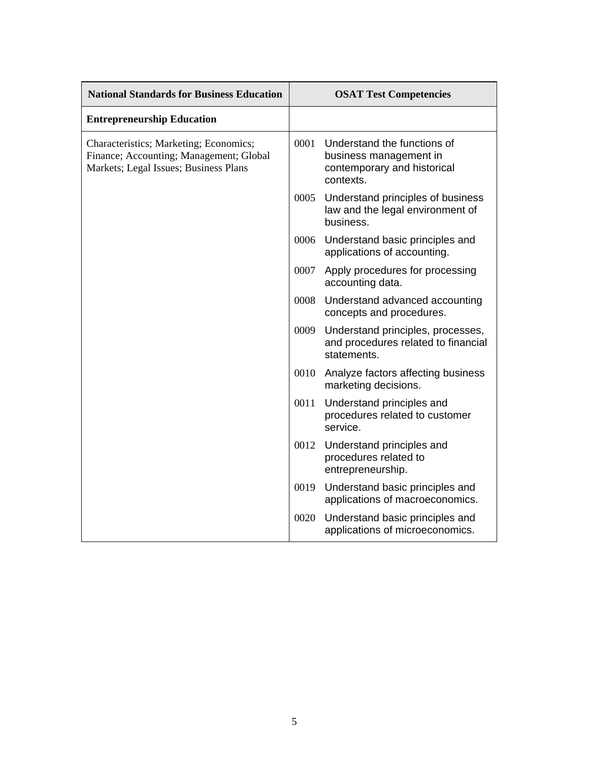| <b>National Standards for Business Education</b>                                                                           |      | <b>OSAT Test Competencies</b>                                                                     |
|----------------------------------------------------------------------------------------------------------------------------|------|---------------------------------------------------------------------------------------------------|
| <b>Entrepreneurship Education</b>                                                                                          |      |                                                                                                   |
| Characteristics; Marketing; Economics;<br>Finance; Accounting; Management; Global<br>Markets; Legal Issues; Business Plans | 0001 | Understand the functions of<br>business management in<br>contemporary and historical<br>contexts. |
|                                                                                                                            | 0005 | Understand principles of business<br>law and the legal environment of<br>business.                |
|                                                                                                                            | 0006 | Understand basic principles and<br>applications of accounting.                                    |
|                                                                                                                            | 0007 | Apply procedures for processing<br>accounting data.                                               |
|                                                                                                                            | 0008 | Understand advanced accounting<br>concepts and procedures.                                        |
|                                                                                                                            | 0009 | Understand principles, processes,<br>and procedures related to financial<br>statements.           |
|                                                                                                                            | 0010 | Analyze factors affecting business<br>marketing decisions.                                        |
|                                                                                                                            | 0011 | Understand principles and<br>procedures related to customer<br>service.                           |
|                                                                                                                            | 0012 | Understand principles and<br>procedures related to<br>entrepreneurship.                           |
|                                                                                                                            | 0019 | Understand basic principles and<br>applications of macroeconomics.                                |
|                                                                                                                            | 0020 | Understand basic principles and<br>applications of microeconomics.                                |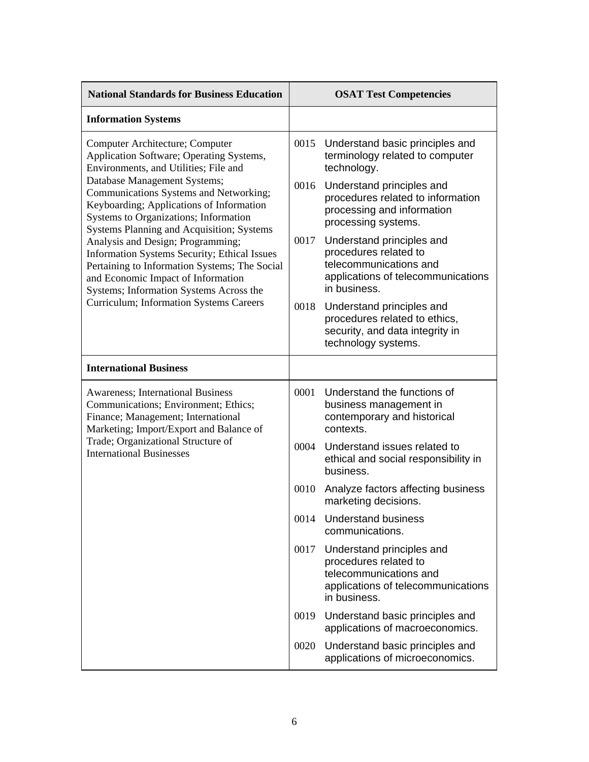| <b>National Standards for Business Education</b>                                                                                                                                                                    |      | <b>OSAT Test Competencies</b>                                                                                                      |
|---------------------------------------------------------------------------------------------------------------------------------------------------------------------------------------------------------------------|------|------------------------------------------------------------------------------------------------------------------------------------|
| <b>Information Systems</b>                                                                                                                                                                                          |      |                                                                                                                                    |
| Computer Architecture; Computer<br>Application Software; Operating Systems,<br>Environments, and Utilities; File and                                                                                                | 0015 | Understand basic principles and<br>terminology related to computer<br>technology.                                                  |
| Database Management Systems;<br>Communications Systems and Networking;<br>Keyboarding; Applications of Information<br>Systems to Organizations; Information<br>Systems Planning and Acquisition; Systems            | 0016 | Understand principles and<br>procedures related to information<br>processing and information<br>processing systems.                |
| Analysis and Design; Programming;<br>Information Systems Security; Ethical Issues<br>Pertaining to Information Systems; The Social<br>and Economic Impact of Information<br>Systems; Information Systems Across the | 0017 | Understand principles and<br>procedures related to<br>telecommunications and<br>applications of telecommunications<br>in business. |
| <b>Curriculum</b> ; Information Systems Careers                                                                                                                                                                     | 0018 | Understand principles and<br>procedures related to ethics,<br>security, and data integrity in<br>technology systems.               |
| <b>International Business</b>                                                                                                                                                                                       |      |                                                                                                                                    |
| <b>Awareness</b> ; International Business<br>Communications; Environment; Ethics;<br>Finance; Management; International<br>Marketing; Import/Export and Balance of                                                  | 0001 | Understand the functions of<br>business management in<br>contemporary and historical<br>contexts.                                  |
| Trade; Organizational Structure of<br><b>International Businesses</b>                                                                                                                                               | 0004 | Understand issues related to<br>ethical and social responsibility in<br>business.                                                  |
|                                                                                                                                                                                                                     | 0010 | Analyze factors affecting business<br>marketing decisions.                                                                         |
|                                                                                                                                                                                                                     | 0014 | <b>Understand business</b><br>communications.                                                                                      |
|                                                                                                                                                                                                                     | 0017 | Understand principles and<br>procedures related to<br>telecommunications and<br>applications of telecommunications<br>in business. |
|                                                                                                                                                                                                                     | 0019 | Understand basic principles and<br>applications of macroeconomics.                                                                 |
|                                                                                                                                                                                                                     | 0020 | Understand basic principles and<br>applications of microeconomics.                                                                 |